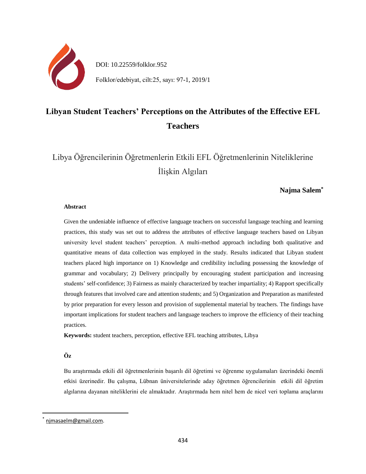

# DOI: 10.22559/folklor.952 Folklor/edebiyat, cilt:25, sayı: 97-1, 2019/1

# **Libyan Student Teachers' Perceptions on the Attributes of the Effective EFL Teachers**

Libya Öğrencilerinin Öğretmenlerin Etkili EFL Öğretmenlerinin Niteliklerine İlişkin Algıları

# **Najma Salem\***

#### **Abstract**

Given the undeniable influence of effective language teachers on successful language teaching and learning practices, this study was set out to address the attributes of effective language teachers based on Libyan university level student teachers' perception. A multi-method approach including both qualitative and quantitative means of data collection was employed in the study. Results indicated that Libyan student teachers placed high importance on 1) Knowledge and credibility including possessing the knowledge of grammar and vocabulary; 2) Delivery principally by encouraging student participation and increasing students' self-confidence; 3) Fairness as mainly characterized by teacher impartiality; 4) Rapport specifically through features that involved care and attention students; and 5) Organization and Preparation as manifested by prior preparation for every lesson and provision of supplemental material by teachers. The findings have important implications for student teachers and language teachers to improve the efficiency of their teaching practices*.*

**Keywords:** student teachers, perception, effective EFL teaching attributes, Libya

# **Öz**

Bu araştırmada etkili dil öğretmenlerinin başarılı dil öğretimi ve öğrenme uygulamaları üzerindeki önemli etkisi üzerinedir. Bu çalışma, Lübnan üniversitelerinde aday öğretmen öğrencilerinin etkili dil öğretim algılarına dayanan niteliklerini ele almaktadır. Araştırmada hem nitel hem de nicel veri toplama araçlarını

 $\overline{a}$ 

<sup>\*</sup> [njmasaelm@gmail.com.](mailto:njmasaelm@gmail.com)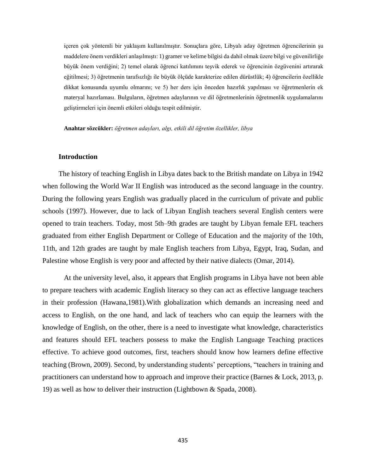içeren çok yöntemli bir yaklaşım kullanılmıştır. Sonuçlara göre, Libyalı aday öğretmen öğrencilerinin şu maddelere önem verdikleri anlaşılmıştı: 1) gramer ve kelime bilgisi da dahil olmak üzere bilgi ve güvenilirliğe büyük önem verdiğini; 2) temel olarak öğrenci katılımını teşvik ederek ve öğrencinin özgüvenini artırarak eğitilmesi; 3) öğretmenin tarafsızlığı ile büyük ölçüde karakterize edilen dürüstlük; 4) öğrencilerin özellikle dikkat konusunda uyumlu olmarını; ve 5) her ders için önceden hazırlık yapılması ve öğretmenlerin ek materyal hazırlaması. Bulguların, öğretmen adaylarının ve dil öğretmenlerinin öğretmenlik uygulamalarını geliştirmeleri için önemli etkileri olduğu tespit edilmiştir.

**Anahtar sözcükler:** *öğretmen adayları, algı, etkili dil öğretim özellikler, libya*

#### **Introduction**

The history of teaching English in Libya dates back to the British mandate on Libya in 1942 when following the World War II English was introduced as the second language in the country. During the following years English was gradually placed in the curriculum of private and public schools (1997). However, due to lack of Libyan English teachers several English centers were opened to train teachers. Today, most 5th–9th grades are taught by Libyan female EFL teachers graduated from either English Department or College of Education and the majority of the 10th, 11th, and 12th grades are taught by male English teachers from Libya, Egypt, Iraq, Sudan, and Palestine whose English is very poor and affected by their native dialects (Omar, 2014).

At the university level, also, it appears that English programs in Libya have not been able to prepare teachers with academic English literacy so they can act as effective language teachers in their profession (Hawana,1981).With globalization which demands an increasing need and access to English, on the one hand, and lack of teachers who can equip the learners with the knowledge of English, on the other, there is a need to investigate what knowledge, characteristics and features should EFL teachers possess to make the English Language Teaching practices effective. To achieve good outcomes, first, teachers should know how learners define effective teaching (Brown, 2009). Second, by understanding students' perceptions, "teachers in training and practitioners can understand how to approach and improve their practice (Barnes & Lock, 2013, p. 19) as well as how to deliver their instruction (Lightbown & Spada, 2008).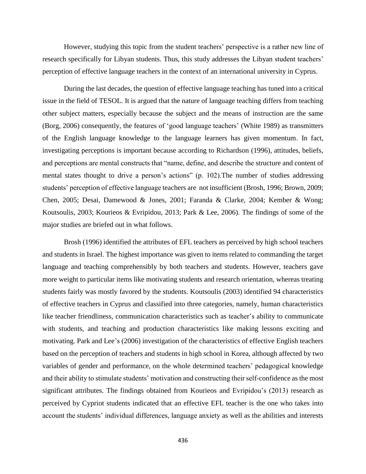However, studying this topic from the student teachers' perspective is a rather new line of research specifically for Libyan students. Thus, this study addresses the Libyan student teachers' perception of effective language teachers in the context of an international university in Cyprus.

During the last decades, the question of effective language teaching has tuned into a critical issue in the field of TESOL. It is argued that the nature of language teaching differs from teaching other subject matters, especially because the subject and the means of instruction are the same (Borg, 2006) consequently, the features of 'good language teachers' (White 1989) as transmitters of the English language knowledge to the language learners has given momentum. In fact, investigating perceptions is important because according to Richardson (1996), attitudes, beliefs, and perceptions are mental constructs that "name, define, and describe the structure and content of mental states thought to drive a person's actions" (p. 102).The number of studies addressing students' perception of effective language teachers are not insufficient (Brosh, 1996; Brown, 2009; Chen, 2005; Desai, Damewood & Jones, 2001; Faranda & Clarke, 2004; Kember & Wong; Koutsoulis, 2003; Kourieos & Evripidou, 2013; Park & Lee, 2006). The findings of some of the major studies are briefed out in what follows.

Brosh (1996) identified the attributes of EFL teachers as perceived by high school teachers and students in Israel. The highest importance was given to items related to commanding the target language and teaching comprehensibly by both teachers and students. However, teachers gave more weight to particular items like motivating students and research orientation, whereas treating students fairly was mostly favored by the students. Koutsoulis (2003) identified 94 characteristics of effective teachers in Cyprus and classified into three categories, namely, human characteristics like teacher friendliness, communication characteristics such as teacher's ability to communicate with students, and teaching and production characteristics like making lessons exciting and motivating. Park and Lee's (2006) investigation of the characteristics of effective English teachers based on the perception of teachers and students in high school in Korea, although affected by two variables of gender and performance, on the whole determined teachers' pedagogical knowledge and their ability to stimulate students' motivation and constructing their self-confidence as the most significant attributes. The findings obtained from Kourieos and Evripidou's (2013) research as perceived by Cypriot students indicated that an effective EFL teacher is the one who takes into account the students' individual differences, language anxiety as well as the abilities and interests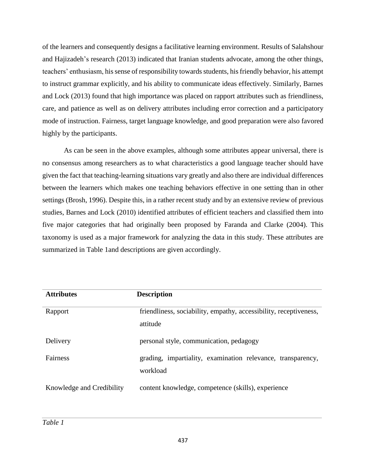of the learners and consequently designs a facilitative learning environment. Results of Salahshour and Hajizadeh's research (2013) indicated that Iranian students advocate, among the other things, teachers' enthusiasm, his sense of responsibility towards students, his friendly behavior, his attempt to instruct grammar explicitly, and his ability to communicate ideas effectively. Similarly, Barnes and Lock (2013) found that high importance was placed on rapport attributes such as friendliness, care, and patience as well as on delivery attributes including error correction and a participatory mode of instruction. Fairness, target language knowledge, and good preparation were also favored highly by the participants.

As can be seen in the above examples, although some attributes appear universal, there is no consensus among researchers as to what characteristics a good language teacher should have given the fact that teaching-learning situations vary greatly and also there are individual differences between the learners which makes one teaching behaviors effective in one setting than in other settings (Brosh, 1996). Despite this, in a rather recent study and by an extensive review of previous studies, Barnes and Lock (2010) identified attributes of efficient teachers and classified them into five major categories that had originally been proposed by Faranda and Clarke (2004). This taxonomy is used as a major framework for analyzing the data in this study. These attributes are summarized in Table 1and descriptions are given accordingly.

| <b>Attributes</b>         | <b>Description</b>                                                            |
|---------------------------|-------------------------------------------------------------------------------|
| Rapport                   | friendliness, sociability, empathy, accessibility, receptiveness,<br>attitude |
| Delivery                  | personal style, communication, pedagogy                                       |
| Fairness                  | grading, impartiality, examination relevance, transparency,<br>workload       |
| Knowledge and Credibility | content knowledge, competence (skills), experience                            |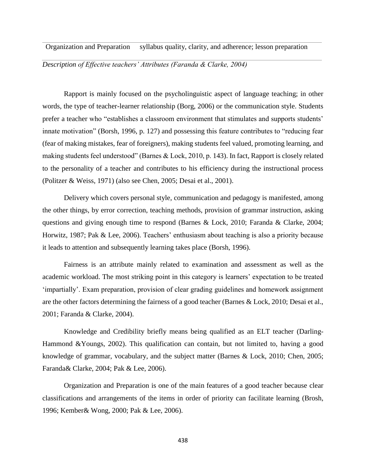Organization and Preparation syllabus quality, clarity, and adherence; lesson preparation

*Description of Effective teachers' Attributes (Faranda & Clarke, 2004)*

Rapport is mainly focused on the psycholinguistic aspect of language teaching; in other words, the type of teacher-learner relationship (Borg, 2006) or the communication style. Students prefer a teacher who "establishes a classroom environment that stimulates and supports students' innate motivation" (Borsh, 1996, p. 127) and possessing this feature contributes to "reducing fear (fear of making mistakes, fear of foreigners), making students feel valued, promoting learning, and making students feel understood" (Barnes & Lock, 2010, p. 143). In fact, Rapport is closely related to the personality of a teacher and contributes to his efficiency during the instructional process (Politzer & Weiss, 1971) (also see Chen, 2005; Desai et al., 2001).

Delivery which covers personal style, communication and pedagogy is manifested, among the other things, by error correction, teaching methods, provision of grammar instruction, asking questions and giving enough time to respond (Barnes & Lock, 2010; Faranda & Clarke, 2004; Horwitz, 1987; Pak & Lee, 2006). Teachers' enthusiasm about teaching is also a priority because it leads to attention and subsequently learning takes place (Borsh, 1996).

Fairness is an attribute mainly related to examination and assessment as well as the academic workload. The most striking point in this category is learners' expectation to be treated 'impartially'. Exam preparation, provision of clear grading guidelines and homework assignment are the other factors determining the fairness of a good teacher (Barnes & Lock, 2010; Desai et al., 2001; Faranda & Clarke, 2004).

Knowledge and Credibility briefly means being qualified as an ELT teacher (Darling-Hammond &Youngs, 2002). This qualification can contain, but not limited to, having a good knowledge of grammar, vocabulary, and the subject matter (Barnes & Lock, 2010; Chen, 2005; Faranda& Clarke, 2004; Pak & Lee, 2006).

Organization and Preparation is one of the main features of a good teacher because clear classifications and arrangements of the items in order of priority can facilitate learning (Brosh, 1996; Kember& Wong, 2000; Pak & Lee, 2006).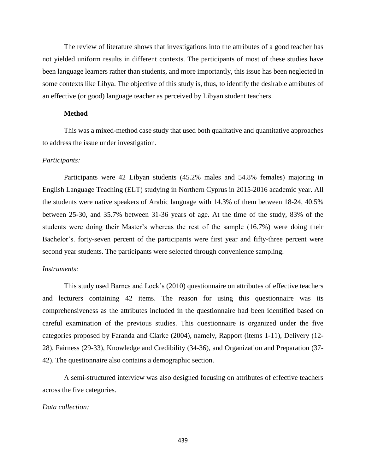The review of literature shows that investigations into the attributes of a good teacher has not yielded uniform results in different contexts. The participants of most of these studies have been language learners rather than students, and more importantly, this issue has been neglected in some contexts like Libya. The objective of this study is, thus, to identify the desirable attributes of an effective (or good) language teacher as perceived by Libyan student teachers.

## **Method**

This was a mixed-method case study that used both qualitative and quantitative approaches to address the issue under investigation.

#### *Participants:*

Participants were 42 Libyan students (45.2% males and 54.8% females) majoring in English Language Teaching (ELT) studying in Northern Cyprus in 2015-2016 academic year. All the students were native speakers of Arabic language with 14.3% of them between 18-24, 40.5% between 25-30, and 35.7% between 31-36 years of age. At the time of the study, 83% of the students were doing their Master's whereas the rest of the sample (16.7%) were doing their Bachelor's. forty-seven percent of the participants were first year and fifty-three percent were second year students. The participants were selected through convenience sampling.

#### *Instruments:*

This study used Barnes and Lock's (2010) questionnaire on attributes of effective teachers and lecturers containing 42 items. The reason for using this questionnaire was its comprehensiveness as the attributes included in the questionnaire had been identified based on careful examination of the previous studies. This questionnaire is organized under the five categories proposed by Faranda and Clarke (2004), namely, Rapport (items 1-11), Delivery (12- 28), Fairness (29-33), Knowledge and Credibility (34-36), and Organization and Preparation (37- 42). The questionnaire also contains a demographic section.

A semi-structured interview was also designed focusing on attributes of effective teachers across the five categories.

### *Data collection:*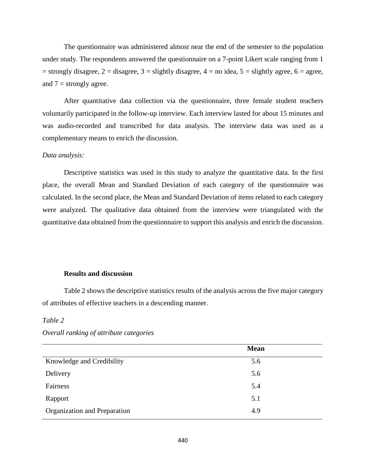The questionnaire was administered almost near the end of the semester to the population under study. The respondents answered the questionnaire on a 7-point Likert scale ranging from 1  $=$  strongly disagree,  $2$  = disagree,  $3$  = slightly disagree,  $4$  = no idea,  $5$  = slightly agree,  $6$  = agree, and  $7 =$  strongly agree.

After quantitative data collection via the questionnaire, three female student teachers voluntarily participated in the follow-up interview. Each interview lasted for about 15 minutes and was audio-recorded and transcribed for data analysis. The interview data was used as a complementary means to enrich the discussion.

## *Data analysis:*

Descriptive statistics was used in this study to analyze the quantitative data. In the first place, the overall Mean and Standard Deviation of each category of the questionnaire was calculated. In the second place, the Mean and Standard Deviation of items related to each category were analyzed. The qualitative data obtained from the interview were triangulated with the quantitative data obtained from the questionnaire to support this analysis and enrich the discussion.

### **Results and discussion**

Table 2 shows the descriptive statistics results of the analysis across the five major category of attributes of effective teachers in a descending manner.

## *Table 2*

|                              | <b>Mean</b> |  |
|------------------------------|-------------|--|
| Knowledge and Credibility    | 5.6         |  |
| Delivery                     | 5.6         |  |
| Fairness                     | 5.4         |  |
| Rapport                      | 5.1         |  |
| Organization and Preparation | 4.9         |  |

*Overall ranking of attribute categories*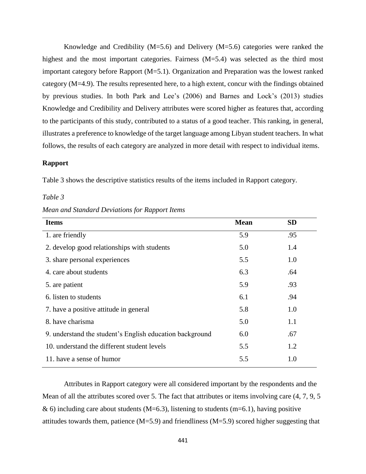Knowledge and Credibility ( $M=5.6$ ) and Delivery ( $M=5.6$ ) categories were ranked the highest and the most important categories. Fairness (M=5.4) was selected as the third most important category before Rapport (M=5.1). Organization and Preparation was the lowest ranked category (M=4.9). The results represented here, to a high extent, concur with the findings obtained by previous studies. In both Park and Lee's (2006) and Barnes and Lock's (2013) studies Knowledge and Credibility and Delivery attributes were scored higher as features that, according to the participants of this study, contributed to a status of a good teacher. This ranking, in general, illustrates a preference to knowledge of the target language among Libyan student teachers. In what follows, the results of each category are analyzed in more detail with respect to individual items.

## **Rapport**

Table 3 shows the descriptive statistics results of the items included in Rapport category.

#### *Table 3*

*Mean and Standard Deviations for Rapport Items*

| <b>Items</b>                                             | <b>Mean</b> | <b>SD</b> |
|----------------------------------------------------------|-------------|-----------|
| 1. are friendly                                          | 5.9         | .95       |
| 2. develop good relationships with students              | 5.0         | 1.4       |
| 3. share personal experiences                            | 5.5         | 1.0       |
| 4. care about students                                   | 6.3         | .64       |
| 5. are patient                                           | 5.9         | .93       |
| 6. listen to students                                    | 6.1         | .94       |
| 7. have a positive attitude in general                   | 5.8         | 1.0       |
| 8. have charisma                                         | 5.0         | 1.1       |
| 9. understand the student's English education background | 6.0         | .67       |
| 10. understand the different student levels              | 5.5         | 1.2       |
| 11. have a sense of humor                                | 5.5         | 1.0       |

Attributes in Rapport category were all considered important by the respondents and the Mean of all the attributes scored over 5. The fact that attributes or items involving care (4, 7, 9, 5  $\&$  6) including care about students (M=6.3), listening to students (m=6.1), having positive attitudes towards them, patience  $(M=5.9)$  and friendliness  $(M=5.9)$  scored higher suggesting that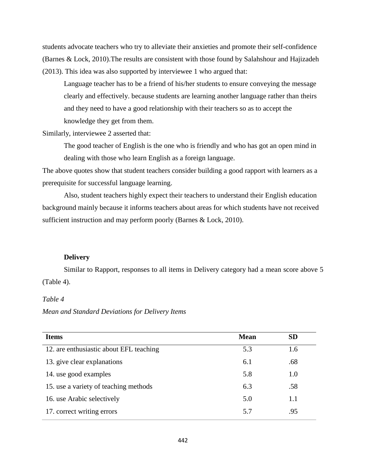students advocate teachers who try to alleviate their anxieties and promote their self-confidence (Barnes & Lock, 2010).The results are consistent with those found by Salahshour and Hajizadeh (2013). This idea was also supported by interviewee 1 who argued that:

Language teacher has to be a friend of his/her students to ensure conveying the message clearly and effectively. because students are learning another language rather than theirs and they need to have a good relationship with their teachers so as to accept the knowledge they get from them.

Similarly, interviewee 2 asserted that:

The good teacher of English is the one who is friendly and who has got an open mind in dealing with those who learn English as a foreign language.

The above quotes show that student teachers consider building a good rapport with learners as a prerequisite for successful language learning.

Also, student teachers highly expect their teachers to understand their English education background mainly because it informs teachers about areas for which students have not received sufficient instruction and may perform poorly (Barnes & Lock, 2010).

## **Delivery**

Similar to Rapport, responses to all items in Delivery category had a mean score above 5 (Table 4).

## *Table 4*

*Mean and Standard Deviations for Delivery Items*

| <b>Items</b>                            | <b>Mean</b> | <b>SD</b> |
|-----------------------------------------|-------------|-----------|
| 12. are enthusiastic about EFL teaching | 5.3         | 1.6       |
| 13. give clear explanations             | 6.1         | .68       |
| 14. use good examples                   | 5.8         | 1.0       |
| 15. use a variety of teaching methods   | 6.3         | .58       |
| 16. use Arabic selectively              | 5.0         | 1.1       |
| 17. correct writing errors              | 5.7         | .95       |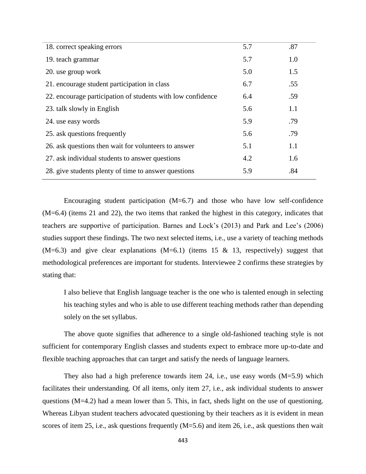| 18. correct speaking errors                                 | 5.7 | .87 |
|-------------------------------------------------------------|-----|-----|
| 19. teach grammar                                           | 5.7 | 1.0 |
| 20. use group work                                          | 5.0 | 1.5 |
| 21. encourage student participation in class                | 6.7 | .55 |
| 22. encourage participation of students with low confidence | 6.4 | .59 |
| 23. talk slowly in English                                  | 5.6 | 1.1 |
| 24. use easy words                                          | 5.9 | .79 |
| 25. ask questions frequently                                | 5.6 | .79 |
| 26. ask questions then wait for volunteers to answer        | 5.1 | 1.1 |
| 27. ask individual students to answer questions             | 4.2 | 1.6 |
| 28. give students plenty of time to answer questions        | 5.9 | .84 |

Encouraging student participation  $(M=6.7)$  and those who have low self-confidence (M=6.4) (items 21 and 22), the two items that ranked the highest in this category, indicates that teachers are supportive of participation. Barnes and Lock's (2013) and Park and Lee's (2006) studies support these findings. The two next selected items, i.e., use a variety of teaching methods  $(M=6.3)$  and give clear explanations  $(M=6.1)$  (items 15 & 13, respectively) suggest that methodological preferences are important for students. Interviewee 2 confirms these strategies by stating that:

I also believe that English language teacher is the one who is talented enough in selecting his teaching styles and who is able to use different teaching methods rather than depending solely on the set syllabus.

The above quote signifies that adherence to a single old-fashioned teaching style is not sufficient for contemporary English classes and students expect to embrace more up-to-date and flexible teaching approaches that can target and satisfy the needs of language learners.

They also had a high preference towards item 24, i.e., use easy words  $(M=5.9)$  which facilitates their understanding. Of all items, only item 27, i.e., ask individual students to answer questions (M=4.2) had a mean lower than 5. This, in fact, sheds light on the use of questioning. Whereas Libyan student teachers advocated questioning by their teachers as it is evident in mean scores of item 25, i.e., ask questions frequently  $(M=5.6)$  and item 26, i.e., ask questions then wait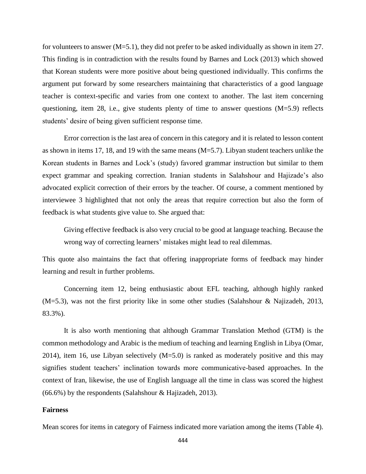for volunteers to answer (M=5.1), they did not prefer to be asked individually as shown in item 27. This finding is in contradiction with the results found by Barnes and Lock (2013) which showed that Korean students were more positive about being questioned individually. This confirms the argument put forward by some researchers maintaining that characteristics of a good language teacher is context-specific and varies from one context to another. The last item concerning questioning, item 28, i.e., give students plenty of time to answer questions (M=5.9) reflects students' desire of being given sufficient response time.

Error correction is the last area of concern in this category and it is related to lesson content as shown in items 17, 18, and 19 with the same means (M=5.7). Libyan student teachers unlike the Korean students in Barnes and Lock's (study) favored grammar instruction but similar to them expect grammar and speaking correction. Iranian students in Salahshour and Hajizade's also advocated explicit correction of their errors by the teacher. Of course, a comment mentioned by interviewee 3 highlighted that not only the areas that require correction but also the form of feedback is what students give value to. She argued that:

Giving effective feedback is also very crucial to be good at language teaching. Because the wrong way of correcting learners' mistakes might lead to real dilemmas.

This quote also maintains the fact that offering inappropriate forms of feedback may hinder learning and result in further problems.

Concerning item 12, being enthusiastic about EFL teaching, although highly ranked (M=5.3), was not the first priority like in some other studies (Salahshour & Najizadeh, 2013, 83.3%).

It is also worth mentioning that although Grammar Translation Method (GTM) is the common methodology and Arabic is the medium of teaching and learning English in Libya (Omar, 2014), item 16, use Libyan selectively (M=5.0) is ranked as moderately positive and this may signifies student teachers' inclination towards more communicative-based approaches. In the context of Iran, likewise, the use of English language all the time in class was scored the highest (66.6%) by the respondents (Salahshour & Hajizadeh, 2013).

## **Fairness**

Mean scores for items in category of Fairness indicated more variation among the items (Table 4).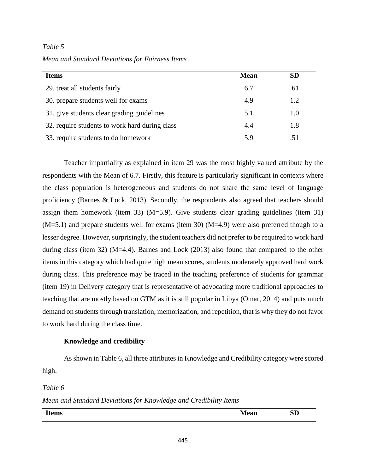## *Table 5*

*Mean and Standard Deviations for Fairness Items* 

| <b>Items</b>                                   | <b>Mean</b> | <b>SD</b> |
|------------------------------------------------|-------------|-----------|
| 29. treat all students fairly                  | 6.7         | .61       |
| 30. prepare students well for exams            | 4.9         | 1.2       |
| 31. give students clear grading guidelines     | 5.1         | 1.0       |
| 32. require students to work hard during class | 4.4         | 1.8       |
| 33. require students to do homework            | 5.9         | .51       |

Teacher impartiality as explained in item 29 was the most highly valued attribute by the respondents with the Mean of 6.7. Firstly, this feature is particularly significant in contexts where the class population is heterogeneous and students do not share the same level of language proficiency (Barnes & Lock, 2013). Secondly, the respondents also agreed that teachers should assign them homework (item 33)  $(M=5.9)$ . Give students clear grading guidelines (item 31)  $(M=5.1)$  and prepare students well for exams (item 30)  $(M=4.9)$  were also preferred though to a lesser degree. However, surprisingly, the student teachers did not prefer to be required to work hard during class (item 32) (M=4.4). Barnes and Lock (2013) also found that compared to the other items in this category which had quite high mean scores, students moderately approved hard work during class. This preference may be traced in the teaching preference of students for grammar (item 19) in Delivery category that is representative of advocating more traditional approaches to teaching that are mostly based on GTM as it is still popular in Libya (Omar, 2014) and puts much demand on students through translation, memorization, and repetition, that is why they do not favor to work hard during the class time.

## **Knowledge and credibility**

As shown in Table 6, all three attributes in Knowledge and Credibility category were scored high.

*Table 6*

*Mean and Standard Deviations for Knowledge and Credibility Items*

| $\mathbf{H}$<br><b>CILLS</b> | $\sim$ $-$<br><b>Nieali</b> | $\mathbf{SD}$ |
|------------------------------|-----------------------------|---------------|
|                              |                             |               |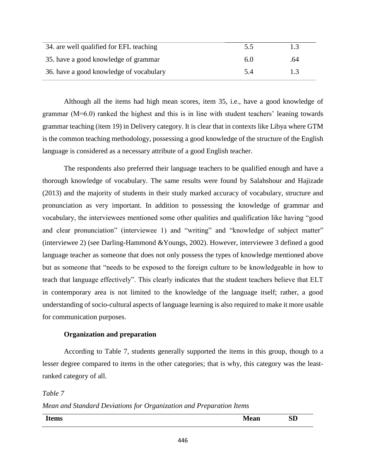| 34. are well qualified for EFL teaching | 5.5 |     |
|-----------------------------------------|-----|-----|
| 35. have a good knowledge of grammar    | 6.0 | .64 |
| 36. have a good knowledge of vocabulary | 5.4 | 13  |

Although all the items had high mean scores, item 35, i.e., have a good knowledge of grammar (M=6.0) ranked the highest and this is in line with student teachers' leaning towards grammar teaching (item 19) in Delivery category. It is clear that in contexts like Libya where GTM is the common teaching methodology, possessing a good knowledge of the structure of the English language is considered as a necessary attribute of a good English teacher.

The respondents also preferred their language teachers to be qualified enough and have a thorough knowledge of vocabulary. The same results were found by Salahshour and Hajizade (2013) and the majority of students in their study marked accuracy of vocabulary, structure and pronunciation as very important. In addition to possessing the knowledge of grammar and vocabulary, the interviewees mentioned some other qualities and qualification like having "good and clear pronunciation" (interviewee 1) and "writing" and "knowledge of subject matter" (interviewee 2) (see Darling-Hammond &Youngs, 2002). However, interviewee 3 defined a good language teacher as someone that does not only possess the types of knowledge mentioned above but as someone that "needs to be exposed to the foreign culture to be knowledgeable in how to teach that language effectively". This clearly indicates that the student teachers believe that ELT in contemporary area is not limited to the knowledge of the language itself; rather, a good understanding of socio-cultural aspects of language learning is also required to make it more usable for communication purposes.

# **Organization and preparation**

According to Table 7, students generally supported the items in this group, though to a lesser degree compared to items in the other categories; that is why, this category was the leastranked category of all.

# *Table 7*

*Mean and Standard Deviations for Organization and Preparation Items*

| T4<br>$  -$<br><i>rtems</i> | $\sim$ $\sim$ $\sim$<br>ivieali | <b>SD</b> |
|-----------------------------|---------------------------------|-----------|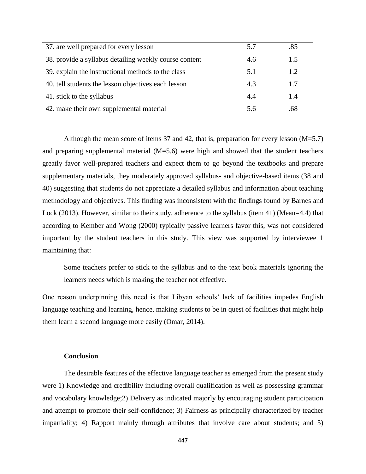| 37. are well prepared for every lesson                 | 5.7 | .85 |
|--------------------------------------------------------|-----|-----|
| 38. provide a syllabus detailing weekly course content | 4.6 | 1.5 |
| 39. explain the instructional methods to the class     | 5.1 | 1.2 |
| 40. tell students the lesson objectives each lesson    | 4.3 | 1.7 |
| 41. stick to the syllabus                              | 4.4 | 1.4 |
| 42. make their own supplemental material               | 5.6 | .68 |
|                                                        |     |     |

Although the mean score of items 37 and 42, that is, preparation for every lesson  $(M=5.7)$ and preparing supplemental material (M=5.6) were high and showed that the student teachers greatly favor well-prepared teachers and expect them to go beyond the textbooks and prepare supplementary materials, they moderately approved syllabus- and objective-based items (38 and 40) suggesting that students do not appreciate a detailed syllabus and information about teaching methodology and objectives. This finding was inconsistent with the findings found by Barnes and Lock (2013). However, similar to their study, adherence to the syllabus (item 41) (Mean=4.4) that according to Kember and Wong (2000) typically passive learners favor this, was not considered important by the student teachers in this study. This view was supported by interviewee 1 maintaining that:

Some teachers prefer to stick to the syllabus and to the text book materials ignoring the learners needs which is making the teacher not effective.

One reason underpinning this need is that Libyan schools' lack of facilities impedes English language teaching and learning, hence, making students to be in quest of facilities that might help them learn a second language more easily (Omar, 2014).

## **Conclusion**

The desirable features of the effective language teacher as emerged from the present study were 1) Knowledge and credibility including overall qualification as well as possessing grammar and vocabulary knowledge;2) Delivery as indicated majorly by encouraging student participation and attempt to promote their self-confidence; 3) Fairness as principally characterized by teacher impartiality; 4) Rapport mainly through attributes that involve care about students; and 5)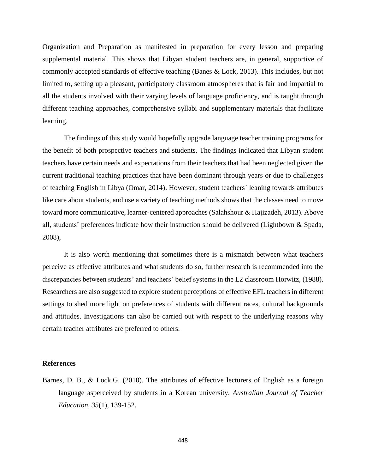Organization and Preparation as manifested in preparation for every lesson and preparing supplemental material. This shows that Libyan student teachers are, in general, supportive of commonly accepted standards of effective teaching (Banes & Lock, 2013). This includes, but not limited to, setting up a pleasant, participatory classroom atmospheres that is fair and impartial to all the students involved with their varying levels of language proficiency, and is taught through different teaching approaches, comprehensive syllabi and supplementary materials that facilitate learning.

The findings of this study would hopefully upgrade language teacher training programs for the benefit of both prospective teachers and students. The findings indicated that Libyan student teachers have certain needs and expectations from their teachers that had been neglected given the current traditional teaching practices that have been dominant through years or due to challenges of teaching English in Libya (Omar, 2014). However, student teachers` leaning towards attributes like care about students, and use a variety of teaching methods shows that the classes need to move toward more communicative, learner-centered approaches (Salahshour & Hajizadeh, 2013). Above all, students' preferences indicate how their instruction should be delivered (Lightbown & Spada, 2008),

It is also worth mentioning that sometimes there is a mismatch between what teachers perceive as effective attributes and what students do so, further research is recommended into the discrepancies between students' and teachers' belief systems in the L2 classroom Horwitz, (1988). Researchers are also suggested to explore student perceptions of effective EFL teachers in different settings to shed more light on preferences of students with different races, cultural backgrounds and attitudes. Investigations can also be carried out with respect to the underlying reasons why certain teacher attributes are preferred to others.

#### **References**

Barnes, D. B., & Lock.G. (2010). The attributes of effective lecturers of English as a foreign language asperceived by students in a Korean university. *Australian Journal of Teacher Education, 35*(1), 139-152.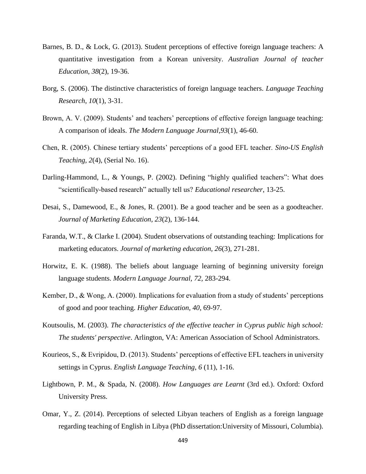- Barnes, B. D., & Lock, G. (2013). Student perceptions of effective foreign language teachers: A quantitative investigation from a Korean university. *Australian Journal of teacher Education*, *38*(2), 19-36.
- Borg, S. (2006). The distinctive characteristics of foreign language teachers. *Language Teaching Research*, *10*(1), 3-31.
- Brown, A. V. (2009). Students' and teachers' perceptions of effective foreign language teaching: A comparison of ideals. *The Modern Language Journal*,*93*(1), 46-60.
- Chen, R. (2005). Chinese tertiary students' perceptions of a good EFL teacher. *Sino-US English Teaching, 2*(4), (Serial No. 16).
- Darling-Hammond, L., & Youngs, P. (2002). Defining "highly qualified teachers": What does "scientifically-based research" actually tell us? *Educational researcher*, 13-25.
- Desai, S., Damewood, E., & Jones, R. (2001). Be a good teacher and be seen as a goodteacher. *Journal of Marketing Education, 23*(2), 136-144.
- Faranda, W.T., & Clarke I. (2004). Student observations of outstanding teaching: Implications for marketing educators. *Journal of marketing education, 26*(3), 271-281.
- Horwitz, E. K. (1988). The beliefs about language learning of beginning university foreign language students. *Modern Language Journal, 72,* 283-294.
- Kember, D., & Wong, A. (2000). Implications for evaluation from a study of students' perceptions of good and poor teaching. *Higher Education, 40*, 69-97.
- Koutsoulis, M. (2003). *The characteristics of the effective teacher in Cyprus public high school: The students' perspective*. Arlington, VA: American Association of School Administrators.
- Kourieos, S., & Evripidou, D. (2013). Students' perceptions of effective EFL teachers in university settings in Cyprus. *English Language Teaching*, *6* (11), 1-16.
- Lightbown, P. M., & Spada, N. (2008). *How Languages are Learnt* (3rd ed.). Oxford: Oxford University Press.
- Omar, Y., Z. (2014). Perceptions of selected Libyan teachers of English as a foreign language regarding teaching of English in Libya (PhD dissertation:University of Missouri, Columbia).